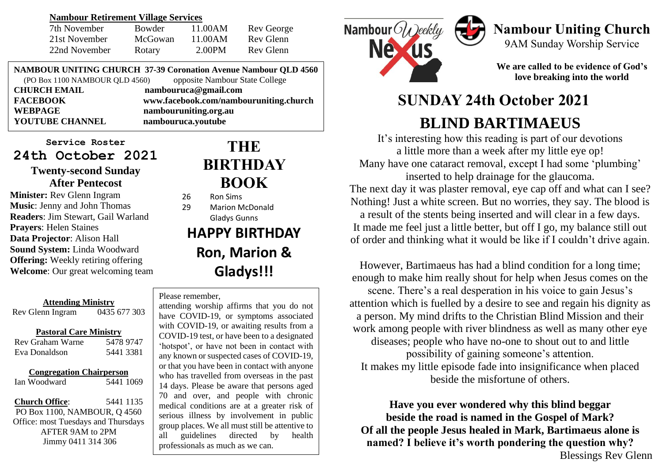### **Nambour Retirement Village Services**

| 7th November  | <b>Bowder</b> | 11.00AM | Rev George |
|---------------|---------------|---------|------------|
| 21st November | McGowan       | 11.00AM | Rev Glenn  |
| 22nd November | Rotary        | 2.00PM  | Rev Glenn  |

**NAMBOUR UNITING CHURCH 37-39 Coronation Avenue Nambour QLD 4560** (PO Box 1100 NAMBOUR QLD 4560) opposite Nambour State College

| <b>CHURCH EMAIL</b>    | nambouruca@gmail.com                   |  |
|------------------------|----------------------------------------|--|
| <b>FACEBOOK</b>        | www.facebook.com/nambouruniting.church |  |
| WEBPAGE                | nambouruniting.org.au                  |  |
| <b>YOUTUBE CHANNEL</b> | nambouruca.youtube                     |  |
|                        |                                        |  |

**Service Roster 24th October 2021**

### **Twenty-second Sunday After Pentecost**

**Minister:** Rev Glenn Ingram **Music**: Jenny and John Thomas **Readers**: Jim Stewart, Gail Warland **Prayers**: Helen Staines **Data Projector**: Alison Hall **Sound System:** Linda Woodward **Offering:** Weekly retiring offering **Welcome**: Our great welcoming team

### **Attending Ministry** Rev Glenn Ingram 0435 677 303

### **Pastoral Care Ministry**

| Rev Graham Warne | 5478 9747 |
|------------------|-----------|
| Eva Donaldson    | 5441 3381 |

### **Congregation Chairperson**

Ian Woodward 5441 1069

**Church Office**: 5441 1135 PO Box 1100, NAMBOUR, Q 4560 Office: most Tuesdays and Thursdays AFTER 9AM to 2PM Jimmy 0411 314 306

# **THE BIRTHDAY BOOK**

- 26 Ron Sims
- 29 Marion McDonald Gladys Gunns

# **HAPPY BIRTHDAY Ron, Marion & Gladys!!!**

### Please remember,

or that you have been in contact with anyone<br>who has travelled from overseas in the past 14 days. Please be aware that persons aged<br>
20 and **prove and provelate intervals** attending worship affirms that you do not have COVID-19, or symptoms associated with COVID-19, or awaiting results from a COVID-19 test, or have been to a designated 'hotspot', or have not been in contact with any known or suspected cases of COVID-19, or that you have been in contact with anyone 70 and over, and people with chronic medical conditions are at a greater risk of serious illness by involvement in public group places. We all must still be attentive to all guidelines directed by health professionals as much as we can.



# **Nambour Uniting Church**

9AM Sunday Worship Service

**We are called to be evidence of God's love breaking into the world**

# **SUNDAY 24th October 2021 BLIND BARTIMAEUS**

It's interesting how this reading is part of our devotions a little more than a week after my little eye op! Many have one cataract removal, except I had some 'plumbing' inserted to help drainage for the glaucoma. The next day it was plaster removal, eye cap off and what can I see? Nothing! Just a white screen. But no worries, they say. The blood is a result of the stents being inserted and will clear in a few days. It made me feel just a little better, but off I go, my balance still out of order and thinking what it would be like if I couldn't drive again.

However, Bartimaeus has had a blind condition for a long time; enough to make him really shout for help when Jesus comes on the scene. There's a real desperation in his voice to gain Jesus's attention which is fuelled by a desire to see and regain his dignity as a person. My mind drifts to the Christian Blind Mission and their work among people with river blindness as well as many other eye diseases; people who have no-one to shout out to and little possibility of gaining someone's attention. It makes my little episode fade into insignificance when placed beside the misfortune of others.

**Have you ever wondered why this blind beggar beside the road is named in the Gospel of Mark? Of all the people Jesus healed in Mark, Bartimaeus alone is named? I believe it's worth pondering the question why?** Blessings Rev Glenn